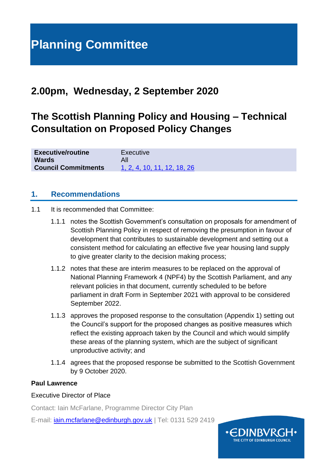## **2.00pm, Wednesday, 2 September 2020**

# **The Scottish Planning Policy and Housing – Technical Consultation on Proposed Policy Changes**

| <b>Executive/routine</b>   | Executive                   |
|----------------------------|-----------------------------|
| <b>Wards</b>               | All                         |
| <b>Council Commitments</b> | 1, 2, 4, 10, 11, 12, 18, 26 |

#### **1. Recommendations**

- 1.1 It is recommended that Committee:
	- 1.1.1 notes the Scottish Government's consultation on proposals for amendment of Scottish Planning Policy in respect of removing the presumption in favour of development that contributes to sustainable development and setting out a consistent method for calculating an effective five year housing land supply to give greater clarity to the decision making process:
	- 1.1.2 notes that these are interim measures to be replaced on the approval of National Planning Framework 4 (NPF4) by the Scottish Parliament, and any relevant policies in that document, currently scheduled to be before parliament in draft Form in September 2021 with approval to be considered September 2022.
	- 1.1.3 approves the proposed response to the consultation (Appendix 1) setting out the Council's support for the proposed changes as positive measures which reflect the existing approach taken by the Council and which would simplify these areas of the planning system, which are the subject of significant unproductive activity; and
	- 1.1.4 agrees that the proposed response be submitted to the Scottish Government by 9 October 2020.

#### **Paul Lawrence**

#### Executive Director of Place

Contact: Iain McFarlane, Programme Director City Plan

E-mail: [iain.mcfarlane@edinburgh.gov.uk](mailto:iain.mcfarlane@edinburgh.gov.uk) | Tel: 0131 529 2419

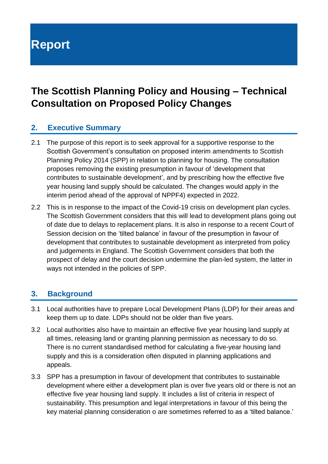# **Report**

## **The Scottish Planning Policy and Housing – Technical Consultation on Proposed Policy Changes**

#### **2. Executive Summary**

- 2.1 The purpose of this report is to seek approval for a supportive response to the Scottish Government's consultation on proposed interim amendments to Scottish Planning Policy 2014 (SPP) in relation to planning for housing. The consultation proposes removing the existing presumption in favour of 'development that contributes to sustainable development', and by prescribing how the effective five year housing land supply should be calculated. The changes would apply in the interim period ahead of the approval of NPPF4) expected in 2022.
- 2.2 This is in response to the impact of the Covid-19 crisis on development plan cycles. The Scottish Government considers that this will lead to development plans going out of date due to delays to replacement plans. It is also in response to a recent Court of Session decision on the 'tilted balance' in favour of the presumption in favour of development that contributes to sustainable development as interpreted from policy and judgements in England. The Scottish Government considers that both the prospect of delay and the court decision undermine the plan-led system, the latter in ways not intended in the policies of SPP.

#### **3. Background**

- 3.1 Local authorities have to prepare Local Development Plans (LDP) for their areas and keep them up to date. LDPs should not be older than five years.
- 3.2 Local authorities also have to maintain an effective five year housing land supply at all times, releasing land or granting planning permission as necessary to do so. There is no current standardised method for calculating a five-year housing land supply and this is a consideration often disputed in planning applications and appeals.
- 3.3 SPP has a presumption in favour of development that contributes to sustainable development where either a development plan is over five years old or there is not an effective five year housing land supply. It includes a list of criteria in respect of sustainability. This presumption and legal interpretations in favour of this being the key material planning consideration o are sometimes referred to as a 'tilted balance.'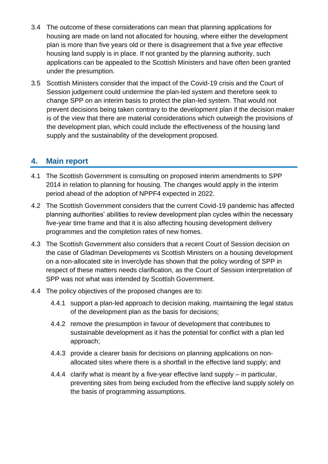- 3.4 The outcome of these considerations can mean that planning applications for housing are made on land not allocated for housing, where either the development plan is more than five years old or there is disagreement that a five year effective housing land supply is in place. If not granted by the planning authority, such applications can be appealed to the Scottish Ministers and have often been granted under the presumption.
- 3.5 Scottish Ministers consider that the impact of the Covid-19 crisis and the Court of Session judgement could undermine the plan-led system and therefore seek to change SPP on an interim basis to protect the plan-led system. That would not prevent decisions being taken contrary to the development plan if the decision maker is of the view that there are material considerations which outweigh the provisions of the development plan, which could include the effectiveness of the housing land supply and the sustainability of the development proposed.

#### **4. Main report**

- 4.1 The Scottish Government is consulting on proposed interim amendments to SPP 2014 in relation to planning for housing. The changes would apply in the interim period ahead of the adoption of NPPF4 expected in 2022.
- 4.2 The Scottish Government considers that the current Covid-19 pandemic has affected planning authorities' abilities to review development plan cycles within the necessary five-year time frame and that it is also affecting housing development delivery programmes and the completion rates of new homes.
- 4.3 The Scottish Government also considers that a recent Court of Session decision on the case of Gladman Developments vs Scottish Ministers on a housing development on a non-allocated site in Inverclyde has shown that the policy wording of SPP in respect of these matters needs clarification, as the Court of Session interpretation of SPP was not what was intended by Scottish Government.
- 4.4 The policy objectives of the proposed changes are to:
	- 4.4.1 support a plan-led approach to decision making, maintaining the legal status of the development plan as the basis for decisions;
	- 4.4.2 remove the presumption in favour of development that contributes to sustainable development as it has the potential for conflict with a plan led approach;
	- 4.4.3 provide a clearer basis for decisions on planning applications on nonallocated sites where there is a shortfall in the effective land supply; and
	- 4.4.4 clarify what is meant by a five-year effective land supply in particular, preventing sites from being excluded from the effective land supply solely on the basis of programming assumptions.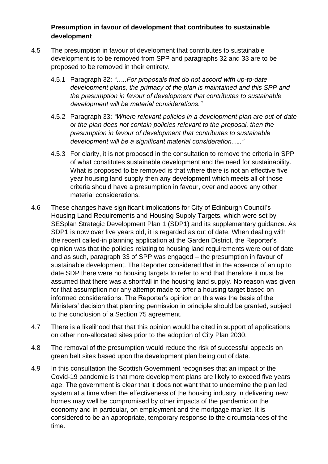#### **Presumption in favour of development that contributes to sustainable development**

- 4.5 The presumption in favour of development that contributes to sustainable development is to be removed from SPP and paragraphs 32 and 33 are to be proposed to be removed in their entirety.
	- 4.5.1 Paragraph 32: *"…..For proposals that do not accord with up-to-date development plans, the primacy of the plan is maintained and this SPP and the presumption in favour of development that contributes to sustainable development will be material considerations."*
	- 4.5.2 Paragraph 33: *"Where relevant policies in a development plan are out-of-date or the plan does not contain policies relevant to the proposal, then the presumption in favour of development that contributes to sustainable development will be a significant material consideration….."*
	- 4.5.3 For clarity, it is not proposed in the consultation to remove the criteria in SPP of what constitutes sustainable development and the need for sustainability. What is proposed to be removed is that where there is not an effective five year housing land supply then any development which meets all of those criteria should have a presumption in favour, over and above any other material considerations.
- 4.6 These changes have significant implications for City of Edinburgh Council's Housing Land Requirements and Housing Supply Targets, which were set by SESplan Strategic Development Plan 1 (SDP1) and its supplementary guidance. As SDP1 is now over five years old, it is regarded as out of date. When dealing with the recent called-in planning application at the Garden District, the Reporter's opinion was that the policies relating to housing land requirements were out of date and as such, paragraph 33 of SPP was engaged – the presumption in favour of sustainable development. The Reporter considered that in the absence of an up to date SDP there were no housing targets to refer to and that therefore it must be assumed that there was a shortfall in the housing land supply. No reason was given for that assumption nor any attempt made to offer a housing target based on informed considerations. The Reporter's opinion on this was the basis of the Ministers' decision that planning permission in principle should be granted, subject to the conclusion of a Section 75 agreement.
- 4.7 There is a likelihood that that this opinion would be cited in support of applications on other non-allocated sites prior to the adoption of City Plan 2030.
- 4.8 The removal of the presumption would reduce the risk of successful appeals on green belt sites based upon the development plan being out of date.
- 4.9 In this consultation the Scottish Government recognises that an impact of the Covid-19 pandemic is that more development plans are likely to exceed five years age. The government is clear that it does not want that to undermine the plan led system at a time when the effectiveness of the housing industry in delivering new homes may well be compromised by other impacts of the pandemic on the economy and in particular, on employment and the mortgage market. It is considered to be an appropriate, temporary response to the circumstances of the time.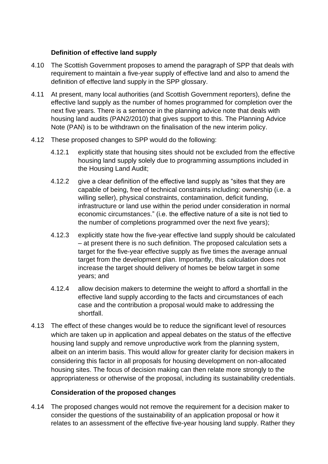#### **Definition of effective land supply**

- 4.10 The Scottish Government proposes to amend the paragraph of SPP that deals with requirement to maintain a five-year supply of effective land and also to amend the definition of effective land supply in the SPP glossary.
- 4.11 At present, many local authorities (and Scottish Government reporters), define the effective land supply as the number of homes programmed for completion over the next five years. There is a sentence in the planning advice note that deals with housing land audits (PAN2/2010) that gives support to this. The Planning Advice Note (PAN) is to be withdrawn on the finalisation of the new interim policy.
- 4.12 These proposed changes to SPP would do the following:
	- 4.12.1 explicitly state that housing sites should not be excluded from the effective housing land supply solely due to programming assumptions included in the Housing Land Audit;
	- 4.12.2 give a clear definition of the effective land supply as "sites that they are capable of being, free of technical constraints including: ownership (i.e. a willing seller), physical constraints, contamination, deficit funding, infrastructure or land use within the period under consideration in normal economic circumstances." (i.e. the effective nature of a site is not tied to the number of completions programmed over the next five years);
	- 4.12.3 explicitly state how the five-year effective land supply should be calculated – at present there is no such definition. The proposed calculation sets a target for the five-year effective supply as five times the average annual target from the development plan. Importantly, this calculation does not increase the target should delivery of homes be below target in some years; and
	- 4.12.4 allow decision makers to determine the weight to afford a shortfall in the effective land supply according to the facts and circumstances of each case and the contribution a proposal would make to addressing the shortfall.
- 4.13 The effect of these changes would be to reduce the significant level of resources which are taken up in application and appeal debates on the status of the effective housing land supply and remove unproductive work from the planning system, albeit on an interim basis. This would allow for greater clarity for decision makers in considering this factor in all proposals for housing development on non-allocated housing sites. The focus of decision making can then relate more strongly to the appropriateness or otherwise of the proposal, including its sustainability credentials.

#### **Consideration of the proposed changes**

4.14 The proposed changes would not remove the requirement for a decision maker to consider the questions of the sustainability of an application proposal or how it relates to an assessment of the effective five-year housing land supply. Rather they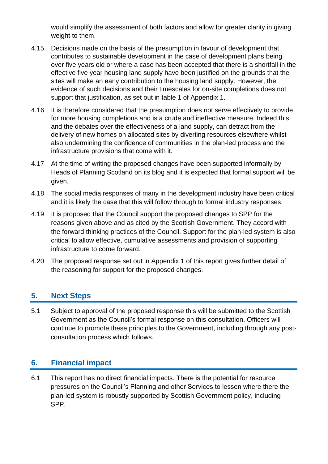would simplify the assessment of both factors and allow for greater clarity in giving weight to them.

- 4.15 Decisions made on the basis of the presumption in favour of development that contributes to sustainable development in the case of development plans being over five years old or where a case has been accepted that there is a shortfall in the effective five year housing land supply have been justified on the grounds that the sites will make an early contribution to the housing land supply. However, the evidence of such decisions and their timescales for on-site completions does not support that justification, as set out in table 1 of Appendix 1.
- 4.16 It is therefore considered that the presumption does not serve effectively to provide for more housing completions and is a crude and ineffective measure. Indeed this, and the debates over the effectiveness of a land supply, can detract from the delivery of new homes on allocated sites by diverting resources elsewhere whilst also undermining the confidence of communities in the plan-led process and the infrastructure provisions that come with it.
- 4.17 At the time of writing the proposed changes have been supported informally by Heads of Planning Scotland on its blog and it is expected that formal support will be given.
- 4.18 The social media responses of many in the development industry have been critical and it is likely the case that this will follow through to formal industry responses.
- 4.19 It is proposed that the Council support the proposed changes to SPP for the reasons given above and as cited by the Scottish Government. They accord with the forward thinking practices of the Council. Support for the plan-led system is also critical to allow effective, cumulative assessments and provision of supporting infrastructure to come forward.
- 4.20 The proposed response set out in Appendix 1 of this report gives further detail of the reasoning for support for the proposed changes.

#### **5. Next Steps**

5.1 Subject to approval of the proposed response this will be submitted to the Scottish Government as the Council's formal response on this consultation. Officers will continue to promote these principles to the Government, including through any postconsultation process which follows.

#### **6. Financial impact**

6.1 This report has no direct financial impacts. There is the potential for resource pressures on the Council's Planning and other Services to lessen where there the plan-led system is robustly supported by Scottish Government policy, including SPP.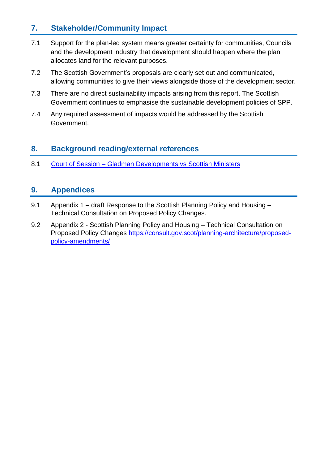#### **7. Stakeholder/Community Impact**

- 7.1 Support for the plan-led system means greater certainty for communities, Councils and the development industry that development should happen where the plan allocates land for the relevant purposes.
- 7.2 The Scottish Government's proposals are clearly set out and communicated, allowing communities to give their views alongside those of the development sector.
- 7.3 There are no direct sustainability impacts arising from this report. The Scottish Government continues to emphasise the sustainable development policies of SPP.
- 7.4 Any required assessment of impacts would be addressed by the Scottish Government.

#### **8. Background reading/external references**

8.1 Court of Session – [Gladman Developments vs Scottish Ministers](https://www.scotcourts.gov.uk/docs/default-source/cos-general-docs/pdf-docs-for-opinions/2020csih28.pdf?sfvrsn=0)

### **9. Appendices**

- 9.1 Appendix 1 draft Response to the Scottish Planning Policy and Housing Technical Consultation on Proposed Policy Changes.
- 9.2 Appendix 2 Scottish Planning Policy and Housing Technical Consultation on Proposed Policy Changes [https://consult.gov.scot/planning-architecture/proposed](https://consult.gov.scot/planning-architecture/proposed-policy-amendments/)[policy-amendments/](https://consult.gov.scot/planning-architecture/proposed-policy-amendments/)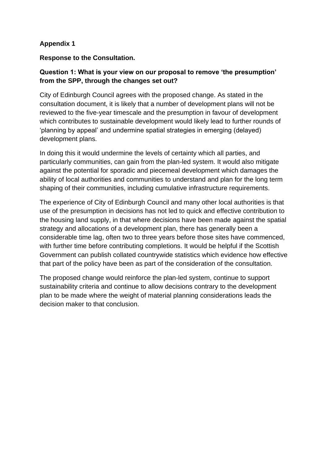#### **Appendix 1**

#### **Response to the Consultation.**

#### **Question 1: What is your view on our proposal to remove 'the presumption' from the SPP, through the changes set out?**

City of Edinburgh Council agrees with the proposed change. As stated in the consultation document, it is likely that a number of development plans will not be reviewed to the five-year timescale and the presumption in favour of development which contributes to sustainable development would likely lead to further rounds of 'planning by appeal' and undermine spatial strategies in emerging (delayed) development plans.

In doing this it would undermine the levels of certainty which all parties, and particularly communities, can gain from the plan-led system. It would also mitigate against the potential for sporadic and piecemeal development which damages the ability of local authorities and communities to understand and plan for the long term shaping of their communities, including cumulative infrastructure requirements.

The experience of City of Edinburgh Council and many other local authorities is that use of the presumption in decisions has not led to quick and effective contribution to the housing land supply, in that where decisions have been made against the spatial strategy and allocations of a development plan, there has generally been a considerable time lag, often two to three years before those sites have commenced, with further time before contributing completions. It would be helpful if the Scottish Government can publish collated countrywide statistics which evidence how effective that part of the policy have been as part of the consideration of the consultation.

The proposed change would reinforce the plan-led system, continue to support sustainability criteria and continue to allow decisions contrary to the development plan to be made where the weight of material planning considerations leads the decision maker to that conclusion.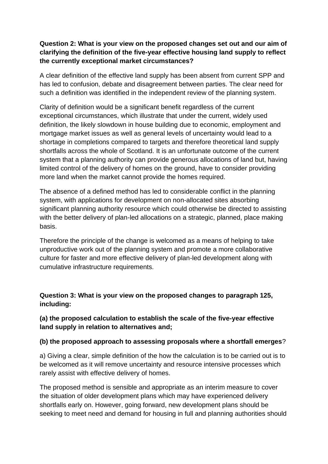#### **Question 2: What is your view on the proposed changes set out and our aim of clarifying the definition of the five-year effective housing land supply to reflect the currently exceptional market circumstances?**

A clear definition of the effective land supply has been absent from current SPP and has led to confusion, debate and disagreement between parties. The clear need for such a definition was identified in the independent review of the planning system.

Clarity of definition would be a significant benefit regardless of the current exceptional circumstances, which illustrate that under the current, widely used definition, the likely slowdown in house building due to economic, employment and mortgage market issues as well as general levels of uncertainty would lead to a shortage in completions compared to targets and therefore theoretical land supply shortfalls across the whole of Scotland. It is an unfortunate outcome of the current system that a planning authority can provide generous allocations of land but, having limited control of the delivery of homes on the ground, have to consider providing more land when the market cannot provide the homes required.

The absence of a defined method has led to considerable conflict in the planning system, with applications for development on non-allocated sites absorbing significant planning authority resource which could otherwise be directed to assisting with the better delivery of plan-led allocations on a strategic, planned, place making basis.

Therefore the principle of the change is welcomed as a means of helping to take unproductive work out of the planning system and promote a more collaborative culture for faster and more effective delivery of plan-led development along with cumulative infrastructure requirements.

**Question 3: What is your view on the proposed changes to paragraph 125, including:**

**(a) the proposed calculation to establish the scale of the five-year effective land supply in relation to alternatives and;**

#### **(b) the proposed approach to assessing proposals where a shortfall emerges**?

a) Giving a clear, simple definition of the how the calculation is to be carried out is to be welcomed as it will remove uncertainty and resource intensive processes which rarely assist with effective delivery of homes.

The proposed method is sensible and appropriate as an interim measure to cover the situation of older development plans which may have experienced delivery shortfalls early on. However, going forward, new development plans should be seeking to meet need and demand for housing in full and planning authorities should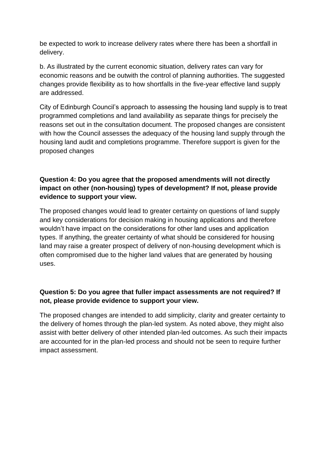be expected to work to increase delivery rates where there has been a shortfall in delivery.

b. As illustrated by the current economic situation, delivery rates can vary for economic reasons and be outwith the control of planning authorities. The suggested changes provide flexibility as to how shortfalls in the five-year effective land supply are addressed.

City of Edinburgh Council's approach to assessing the housing land supply is to treat programmed completions and land availability as separate things for precisely the reasons set out in the consultation document. The proposed changes are consistent with how the Council assesses the adequacy of the housing land supply through the housing land audit and completions programme. Therefore support is given for the proposed changes

#### **Question 4: Do you agree that the proposed amendments will not directly impact on other (non-housing) types of development? If not, please provide evidence to support your view.**

The proposed changes would lead to greater certainty on questions of land supply and key considerations for decision making in housing applications and therefore wouldn't have impact on the considerations for other land uses and application types. If anything, the greater certainty of what should be considered for housing land may raise a greater prospect of delivery of non-housing development which is often compromised due to the higher land values that are generated by housing uses.

#### **Question 5: Do you agree that fuller impact assessments are not required? If not, please provide evidence to support your view.**

The proposed changes are intended to add simplicity, clarity and greater certainty to the delivery of homes through the plan-led system. As noted above, they might also assist with better delivery of other intended plan-led outcomes. As such their impacts are accounted for in the plan-led process and should not be seen to require further impact assessment.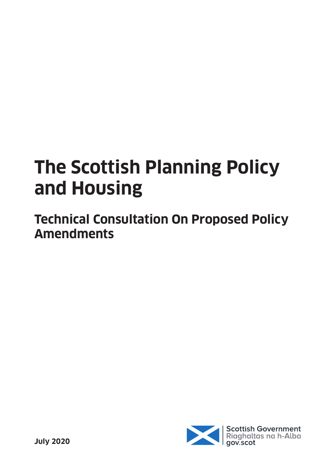# **The Scottish Planning Policy and Housing**

**Technical Consultation On Proposed Policy Amendments**

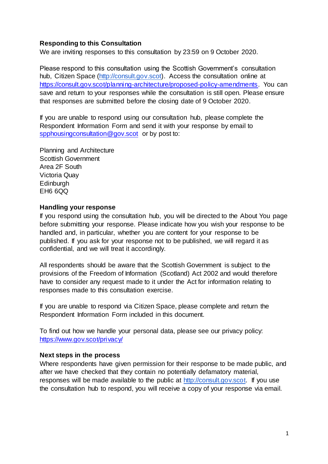#### **Responding to this Consultation**

We are inviting responses to this consultation by 23:59 on 9 October 2020.

Please respond to this consultation using the Scottish Government's consultation hub, Citizen Space [\(http://consult.gov.scot\).](http://consult.gov.scot/) Access the consultation online at [https://consult.gov.scot/planning-architecture/proposed-policy-amendments.](https://consult.gov.scot/planning-architecture/proposed-policy-amendments) You can save and return to your responses while the consultation is still open. Please ensure that responses are submitted before the closing date of 9 October 2020.

If you are unable to respond using our consultation hub, please complete the Respondent Information Form and send it with your response by email to [spphousingconsultation@gov.scot](mailto:spphousingconsultation@gov.scot) or by post to:

Planning and Architecture Scottish Government Area 2F South Victoria Quay **Edinburgh** EH6 6QQ

#### **Handling your response**

If you respond using the consultation hub, you will be directed to the About You page before submitting your response. Please indicate how you wish your response to be handled and, in particular, whether you are content for your response to be published. If you ask for your response not to be published, we will regard it as confidential, and we will treat it accordingly.

All respondents should be aware that the Scottish Government is subject to the provisions of the Freedom of Information (Scotland) Act 2002 and would therefore have to consider any request made to it under the Act for information relating to responses made to this consultation exercise.

If you are unable to respond via Citizen Space, please complete and return the Respondent Information Form included in this document.

To find out how we handle your personal data, please see our privacy policy: <https://www.gov.scot/privacy/>

#### **Next steps in the process**

Where respondents have given permission for their response to be made public, and after we have checked that they contain no potentially defamatory material, responses will be made available to the public at [http://consult.gov.scot.](http://consult.gov.scot/) If you use the consultation hub to respond, you will receive a copy of your response via email.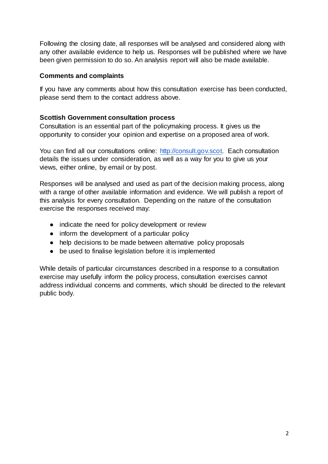Following the closing date, all responses will be analysed and considered along with any other available evidence to help us. Responses will be published where we have been given permission to do so. An analysis report will also be made available.

#### **Comments and complaints**

If you have any comments about how this consultation exercise has been conducted, please send them to the contact address above.

#### **Scottish Government consultation process**

Consultation is an essential part of the policymaking process. It gives us the opportunity to consider your opinion and expertise on a proposed area of work.

You can find all our consultations online: [http://consult.gov.scot.](http://consult.gov.scot/) Each consultation details the issues under consideration, as well as a way for you to give us your views, either online, by email or by post.

Responses will be analysed and used as part of the decision making process, along with a range of other available information and evidence. We will publish a report of this analysis for every consultation. Depending on the nature of the consultation exercise the responses received may:

- indicate the need for policy development or review
- inform the development of a particular policy
- help decisions to be made between alternative policy proposals
- be used to finalise legislation before it is implemented

While details of particular circumstances described in a response to a consultation exercise may usefully inform the policy process, consultation exercises cannot address individual concerns and comments, which should be directed to the relevant public body.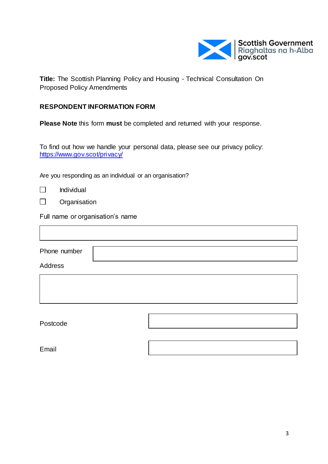

**Title:** The Scottish Planning Policy and Housing - Technical Consultation On Proposed Policy Amendments

#### **RESPONDENT INFORMATION FORM**

**Please Note** this form **must** be completed and returned with your response.

To find out how we handle your personal data, please see our privacy policy: <https://www.gov.scot/privacy/>

Are you responding as an individual or an organisation?

|  | Individual |
|--|------------|
|--|------------|

 $\Box$ **Organisation** 

Full name or organisation's name

Phone number

Address

Postcode

Email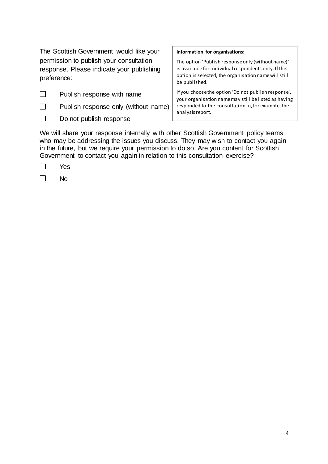The Scottish Government would like your permission to publish your consultation response. Please indicate your publishing preference:

- $\Box$ Publish response with name
- $\Box$ Publish response only (without name)
- $\Box$ Do not publish response

#### **Information for organisations:**

The option 'Publish response only (without name)' is available for individual respondents only. If this option is selected, the organisation name will still be published.

If you choose the option 'Do not publish response', your organisation name may still be listed as having responded to the consultation in, for example, the analysis report.

We will share your response internally with other Scottish Government policy teams who may be addressing the issues you discuss. They may wish to contact you again in the future, but we require your permission to do so. Are you content for Scottish Government to contact you again in relation to this consultation exercise?

| ۰. |
|----|
|----|

 $\Box$ No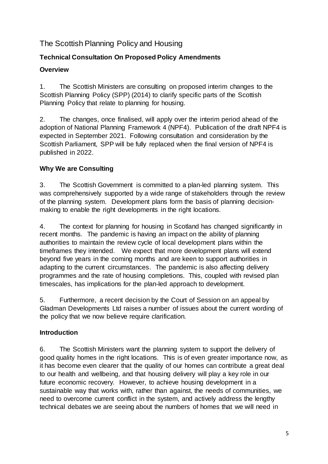#### The Scottish Planning Policy and Housing

#### **Technical Consultation On Proposed Policy Amendments**

#### **Overview**

1. The Scottish Ministers are consulting on proposed interim changes to the Scottish Planning Policy (SPP) (2014) to clarify specific parts of the Scottish Planning Policy that relate to planning for housing.

2. The changes, once finalised, will apply over the interim period ahead of the adoption of National Planning Framework 4 (NPF4). Publication of the draft NPF4 is expected in September 2021. Following consultation and consideration by the Scottish Parliament, SPP will be fully replaced when the final version of NPF4 is published in 2022.

#### **Why We are Consulting**

3. The Scottish Government is committed to a plan-led planning system. This was comprehensively supported by a wide range of stakeholders through the review of the planning system. Development plans form the basis of planning decisionmaking to enable the right developments in the right locations.

4. The context for planning for housing in Scotland has changed significantly in recent months. The pandemic is having an impact on the ability of planning authorities to maintain the review cycle of local development plans within the timeframes they intended. We expect that more development plans will extend beyond five years in the coming months and are keen to support authorities in adapting to the current circumstances. The pandemic is also affecting delivery programmes and the rate of housing completions. This, coupled with revised plan timescales, has implications for the plan-led approach to development.

5. Furthermore, a recent decision by the Court of Session on an appeal by Gladman Developments Ltd raises a number of issues about the current wording of the policy that we now believe require clarification.

#### **Introduction**

6. The Scottish Ministers want the planning system to support the delivery of good quality homes in the right locations. This is of even greater importance now, as it has become even clearer that the quality of our homes can contribute a great deal to our health and wellbeing, and that housing delivery will play a key role in our future economic recovery. However, to achieve housing development in a sustainable way that works with, rather than against, the needs of communities, we need to overcome current conflict in the system, and actively address the lengthy technical debates we are seeing about the numbers of homes that we will need in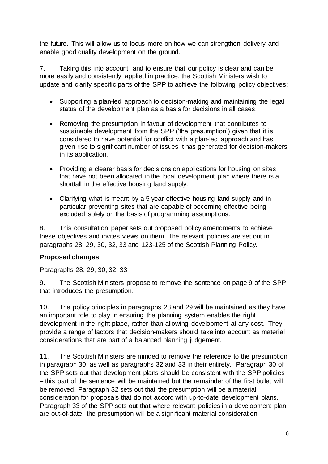the future. This will allow us to focus more on how we can strengthen delivery and enable good quality development on the ground.

7. Taking this into account, and to ensure that our policy is clear and can be more easily and consistently applied in practice, the Scottish Ministers wish to update and clarify specific parts of the SPP to achieve the following policy objectives:

- Supporting a plan-led approach to decision-making and maintaining the legal status of the development plan as a basis for decisions in all cases.
- Removing the presumption in favour of development that contributes to sustainable development from the SPP ('the presumption') given that it is considered to have potential for conflict with a plan-led approach and has given rise to significant number of issues it has generated for decision-makers in its application.
- Providing a clearer basis for decisions on applications for housing on sites that have not been allocated in the local development plan where there is a shortfall in the effective housing land supply.
- Clarifying what is meant by a 5 year effective housing land supply and in particular preventing sites that are capable of becoming effective being excluded solely on the basis of programming assumptions.

8. This consultation paper sets out proposed policy amendments to achieve these objectives and invites views on them. The relevant policies are set out in paragraphs 28, 29, 30, 32, 33 and 123-125 of the Scottish Planning Policy.

#### **Proposed changes**

#### Paragraphs 28, 29, 30, 32, 33

9. The Scottish Ministers propose to remove the sentence on page 9 of the SPP that introduces the presumption.

10. The policy principles in paragraphs 28 and 29 will be maintained as they have an important role to play in ensuring the planning system enables the right development in the right place, rather than allowing development at any cost. They provide a range of factors that decision-makers should take into account as material considerations that are part of a balanced planning judgement.

11. The Scottish Ministers are minded to remove the reference to the presumption in paragraph 30, as well as paragraphs 32 and 33 in their entirety. Paragraph 30 of the SPP sets out that development plans should be consistent with the SPP policies – this part of the sentence will be maintained but the remainder of the first bullet will be removed. Paragraph 32 sets out that the presumption will be a material consideration for proposals that do not accord with up-to-date development plans. Paragraph 33 of the SPP sets out that where relevant policies in a development plan are out-of-date, the presumption will be a significant material consideration.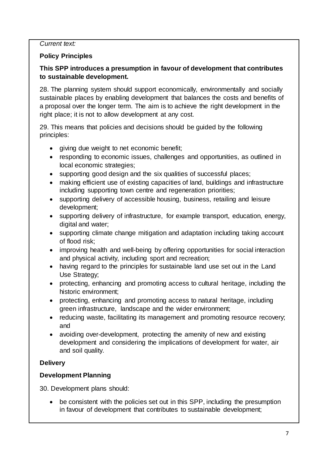#### *Current text:*

#### **Policy Principles**

#### **This SPP introduces a presumption in favour of development that contributes to sustainable development.**

28. The planning system should support economically, environmentally and socially sustainable places by enabling development that balances the costs and benefits of a proposal over the longer term. The aim is to achieve the right development in the right place; it is not to allow development at any cost.

29. This means that policies and decisions should be guided by the following principles:

- giving due weight to net economic benefit;
- responding to economic issues, challenges and opportunities, as outlined in local economic strategies;
- supporting good design and the six qualities of successful places;
- making efficient use of existing capacities of land, buildings and infrastructure including supporting town centre and regeneration priorities;
- supporting delivery of accessible housing, business, retailing and leisure development;
- supporting delivery of infrastructure, for example transport, education, energy, digital and water;
- supporting climate change mitigation and adaptation including taking account of flood risk;
- improving health and well-being by offering opportunities for social interaction and physical activity, including sport and recreation;
- having regard to the principles for sustainable land use set out in the Land Use Strategy;
- protecting, enhancing and promoting access to cultural heritage, including the historic environment;
- protecting, enhancing and promoting access to natural heritage, including green infrastructure, landscape and the wider environment;
- reducing waste, facilitating its management and promoting resource recovery; and
- avoiding over-development, protecting the amenity of new and existing development and considering the implications of development for water, air and soil quality.

#### **Delivery**

#### **Development Planning**

30. Development plans should:

 be consistent with the policies set out in this SPP, including the presumption in favour of development that contributes to sustainable development;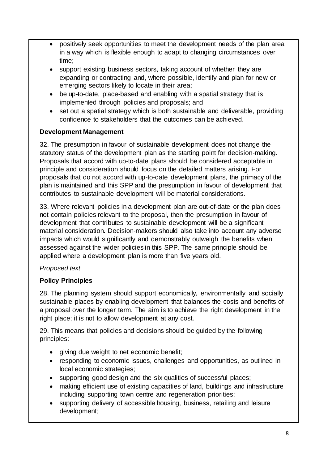- positively seek opportunities to meet the development needs of the plan area in a way which is flexible enough to adapt to changing circumstances over time;
- support existing business sectors, taking account of whether they are expanding or contracting and, where possible, identify and plan for new or emerging sectors likely to locate in their area;
- be up-to-date, place-based and enabling with a spatial strategy that is implemented through policies and proposals; and
- set out a spatial strategy which is both sustainable and deliverable, providing confidence to stakeholders that the outcomes can be achieved.

#### **Development Management**

32. The presumption in favour of sustainable development does not change the statutory status of the development plan as the starting point for decision-making. Proposals that accord with up-to-date plans should be considered acceptable in principle and consideration should focus on the detailed matters arising. For proposals that do not accord with up-to-date development plans, the primacy of the plan is maintained and this SPP and the presumption in favour of development that contributes to sustainable development will be material considerations.

33. Where relevant policies in a development plan are out-of-date or the plan does not contain policies relevant to the proposal, then the presumption in favour of development that contributes to sustainable development will be a significant material consideration. Decision-makers should also take into account any adverse impacts which would significantly and demonstrably outweigh the benefits when assessed against the wider policies in this SPP. The same principle should be applied where a development plan is more than five years old.

#### *Proposed text*

#### **Policy Principles**

28. The planning system should support economically, environmentally and socially sustainable places by enabling development that balances the costs and benefits of a proposal over the longer term. The aim is to achieve the right development in the right place; it is not to allow development at any cost.

29. This means that policies and decisions should be guided by the following principles:

- giving due weight to net economic benefit;
- responding to economic issues, challenges and opportunities, as outlined in local economic strategies;
- supporting good design and the six qualities of successful places;
- making efficient use of existing capacities of land, buildings and infrastructure including supporting town centre and regeneration priorities;
- supporting delivery of accessible housing, business, retailing and leisure development;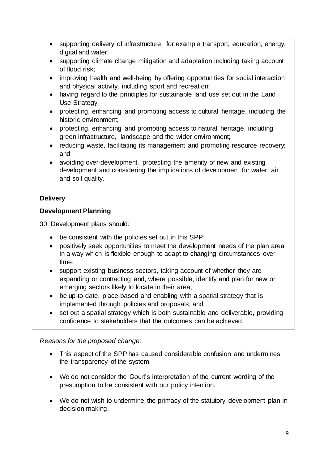- supporting delivery of infrastructure, for example transport, education, energy, digital and water;
- supporting climate change mitigation and adaptation including taking account of flood risk;
- improving health and well-being by offering opportunities for social interaction and physical activity, including sport and recreation;
- having regard to the principles for sustainable land use set out in the Land Use Strategy;
- protecting, enhancing and promoting access to cultural heritage, including the historic environment;
- protecting, enhancing and promoting access to natural heritage, including green infrastructure, landscape and the wider environment;
- reducing waste, facilitating its management and promoting resource recovery; and
- avoiding over-development, protecting the amenity of new and existing development and considering the implications of development for water, air and soil quality.

#### **Delivery**

#### **Development Planning**

30. Development plans should:

- be consistent with the policies set out in this SPP;
- positively seek opportunities to meet the development needs of the plan area in a way which is flexible enough to adapt to changing circumstances over time;
- support existing business sectors, taking account of whether they are expanding or contracting and, where possible, identify and plan for new or emerging sectors likely to locate in their area;
- be up-to-date, place-based and enabling with a spatial strategy that is implemented through policies and proposals; and
- set out a spatial strategy which is both sustainable and deliverable, providing confidence to stakeholders that the outcomes can be achieved.

*Reasons for the proposed change:*

- This aspect of the SPP has caused considerable confusion and undermines the transparency of the system.
- We do not consider the Court's interpretation of the current wording of the presumption to be consistent with our policy intention.
- We do not wish to undermine the primacy of the statutory development plan in decision-making.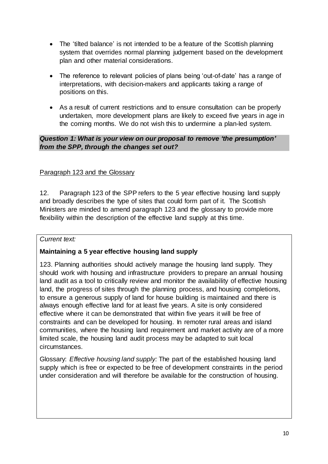- The 'tilted balance' is not intended to be a feature of the Scottish planning system that overrides normal planning judgement based on the development plan and other material considerations.
- The reference to relevant policies of plans being 'out-of-date' has a range of interpretations, with decision-makers and applicants taking a range of positions on this.
- As a result of current restrictions and to ensure consultation can be properly undertaken, more development plans are likely to exceed five years in age in the coming months. We do not wish this to undermine a plan-led system.

#### *Question 1: What is your view on our proposal to remove 'the presumption' from the SPP, through the changes set out?*

#### Paragraph 123 and the Glossary

12. Paragraph 123 of the SPP refers to the 5 year effective housing land supply and broadly describes the type of sites that could form part of it. The Scottish Ministers are minded to amend paragraph 123 and the glossary to provide more flexibility within the description of the effective land supply at this time.

#### *Current text:*

#### **Maintaining a 5 year effective housing land supply**

123. Planning authorities should actively manage the housing land supply. They should work with housing and infrastructure providers to prepare an annual housing land audit as a tool to critically review and monitor the availability of effective housing land, the progress of sites through the planning process, and housing completions, to ensure a generous supply of land for house building is maintained and there is always enough effective land for at least five years. A site is only considered effective where it can be demonstrated that within five years it will be free of constraints and can be developed for housing. In remoter rural areas and island communities, where the housing land requirement and market activity are of a more limited scale, the housing land audit process may be adapted to suit local circumstances.

Glossary: *Effective housing land supply:* The part of the established housing land supply which is free or expected to be free of development constraints in the period under consideration and will therefore be available for the construction of housing.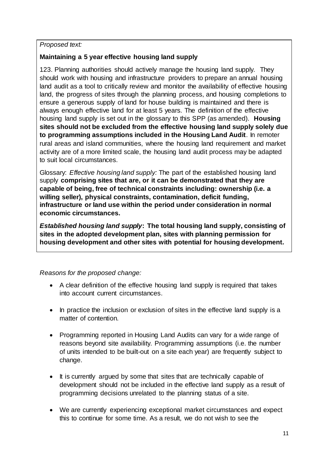#### *Proposed text:*

#### **Maintaining a 5 year effective housing land supply**

123. Planning authorities should actively manage the housing land supply. They should work with housing and infrastructure providers to prepare an annual housing land audit as a tool to critically review and monitor the availability of effective housing land, the progress of sites through the planning process, and housing completions to ensure a generous supply of land for house building is maintained and there is always enough effective land for at least 5 years. The definition of the effective housing land supply is set out in the glossary to this SPP (as amended). **Housing sites should not be excluded from the effective housing land supply solely due to programming assumptions included in the Housing Land Audit**. In remoter rural areas and island communities, where the housing land requirement and market activity are of a more limited scale, the housing land audit process may be adapted to suit local circumstances.

Glossary: *Effective housing land supply:* The part of the established housing land supply **comprising sites that are, or it can be demonstrated that they are capable of being, free of technical constraints including: ownership (i.e. a willing seller), physical constraints, contamination, deficit funding, infrastructure or land use within the period under consideration in normal economic circumstances.** 

*Established housing land supply***: The total housing land supply, consisting of sites in the adopted development plan, sites with planning permission for housing development and other sites with potential for housing development.** 

*Reasons for the proposed change:*

- A clear definition of the effective housing land supply is required that takes into account current circumstances.
- In practice the inclusion or exclusion of sites in the effective land supply is a matter of contention.
- Programming reported in Housing Land Audits can vary for a wide range of reasons beyond site availability. Programming assumptions (i.e. the number of units intended to be built-out on a site each year) are frequently subject to change.
- It is currently argued by some that sites that are technically capable of development should not be included in the effective land supply as a result of programming decisions unrelated to the planning status of a site.
- We are currently experiencing exceptional market circumstances and expect this to continue for some time. As a result, we do not wish to see the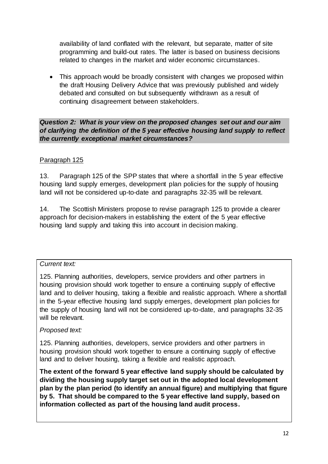availability of land conflated with the relevant, but separate, matter of site programming and build-out rates. The latter is based on business decisions related to changes in the market and wider economic circumstances.

• This approach would be broadly consistent with changes we proposed within the draft Housing Delivery Advice that was previously published and widely debated and consulted on but subsequently withdrawn as a result of continuing disagreement between stakeholders.

*Question 2: What is your view on the proposed changes set out and our aim of clarifying the definition of the 5 year effective housing land supply to reflect the currently exceptional market circumstances?*

#### Paragraph 125

13. Paragraph 125 of the SPP states that where a shortfall in the 5 year effective housing land supply emerges, development plan policies for the supply of housing land will not be considered up-to-date and paragraphs 32-35 will be relevant.

14. The Scottish Ministers propose to revise paragraph 125 to provide a clearer approach for decision-makers in establishing the extent of the 5 year effective housing land supply and taking this into account in decision making.

#### *Current text:*

125. Planning authorities, developers, service providers and other partners in housing provision should work together to ensure a continuing supply of effective land and to deliver housing, taking a flexible and realistic approach. Where a shortfall in the 5-year effective housing land supply emerges, development plan policies for the supply of housing land will not be considered up-to-date, and paragraphs 32-35 will be relevant.

#### *Proposed text:*

125. Planning authorities, developers, service providers and other partners in housing provision should work together to ensure a continuing supply of effective land and to deliver housing, taking a flexible and realistic approach.

**The extent of the forward 5 year effective land supply should be calculated by dividing the housing supply target set out in the adopted local development plan by the plan period (to identify an annual figure) and multiplying that figure by 5. That should be compared to the 5 year effective land supply, based on information collected as part of the housing land audit process.**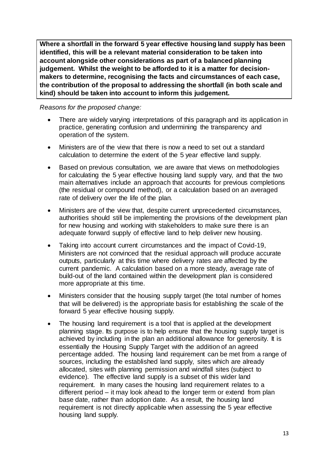**Where a shortfall in the forward 5 year effective housing land supply has been identified, this will be a relevant material consideration to be taken into account alongside other considerations as part of a balanced planning judgement. Whilst the weight to be afforded to it is a matter for decisionmakers to determine, recognising the facts and circumstances of each case, the contribution of the proposal to addressing the shortfall (in both scale and kind) should be taken into account to inform this judgement.**

*Reasons for the proposed change:*

- There are widely varying interpretations of this paragraph and its application in practice, generating confusion and undermining the transparency and operation of the system.
- Ministers are of the view that there is now a need to set out a standard calculation to determine the extent of the 5 year effective land supply.
- Based on previous consultation, we are aware that views on methodologies for calculating the 5 year effective housing land supply vary, and that the two main alternatives include an approach that accounts for previous completions (the residual or compound method), or a calculation based on an averaged rate of delivery over the life of the plan.
- Ministers are of the view that, despite current unprecedented circumstances, authorities should still be implementing the provisions of the development plan for new housing and working with stakeholders to make sure there is an adequate forward supply of effective land to help deliver new housing.
- Taking into account current circumstances and the impact of Covid-19, Ministers are not convinced that the residual approach will produce accurate outputs, particularly at this time where delivery rates are affected by the current pandemic. A calculation based on a more steady, average rate of build-out of the land contained within the development plan is considered more appropriate at this time.
- Ministers consider that the housing supply target (the total number of homes that will be delivered) is the appropriate basis for establishing the scale of the forward 5 year effective housing supply.
- The housing land requirement is a tool that is applied at the development planning stage. Its purpose is to help ensure that the housing supply target is achieved by including in the plan an additional allowance for generosity. It is essentially the Housing Supply Target with the addition of an agreed percentage added. The housing land requirement can be met from a range of sources, including the established land supply, sites which are already allocated, sites with planning permission and windfall sites (subject to evidence). The effective land supply is a subset of this wider land requirement. In many cases the housing land requirement relates to a different period – it may look ahead to the longer term or extend from plan base date, rather than adoption date. As a result, the housing land requirement is not directly applicable when assessing the 5 year effective housing land supply.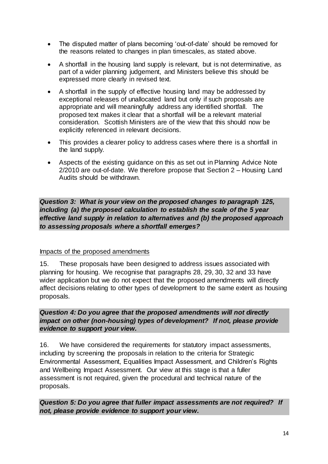- The disputed matter of plans becoming 'out-of-date' should be removed for the reasons related to changes in plan timescales, as stated above.
- A shortfall in the housing land supply is relevant, but is not determinative, as part of a wider planning judgement, and Ministers believe this should be expressed more clearly in revised text.
- A shortfall in the supply of effective housing land may be addressed by exceptional releases of unallocated land but only if such proposals are appropriate and will meaningfully address any identified shortfall. The proposed text makes it clear that a shortfall will be a relevant material consideration. Scottish Ministers are of the view that this should now be explicitly referenced in relevant decisions.
- This provides a clearer policy to address cases where there is a shortfall in the land supply.
- Aspects of the existing guidance on this as set out in Planning Advice Note 2/2010 are out-of-date. We therefore propose that Section 2 – Housing Land Audits should be withdrawn.

*Question 3: What is your view on the proposed changes to paragraph 125, including (a) the proposed calculation to establish the scale of the 5 year effective land supply in relation to alternatives and (b) the proposed approach to assessing proposals where a shortfall emerges?*

#### Impacts of the proposed amendments

15. These proposals have been designed to address issues associated with planning for housing. We recognise that paragraphs 28, 29, 30, 32 and 33 have wider application but we do not expect that the proposed amendments will directly affect decisions relating to other types of development to the same extent as housing proposals.

*Question 4: Do you agree that the proposed amendments will not directly impact on other (non-housing) types of development? If not, please provide evidence to support your view.*

16. We have considered the requirements for statutory impact assessments, including by screening the proposals in relation to the criteria for Strategic Environmental Assessment, Equalities Impact Assessment, and Children's Rights and Wellbeing Impact Assessment. Our view at this stage is that a fuller assessment is not required, given the procedural and technical nature of the proposals.

*Question 5: Do you agree that fuller impact assessments are not required? If not, please provide evidence to support your view.*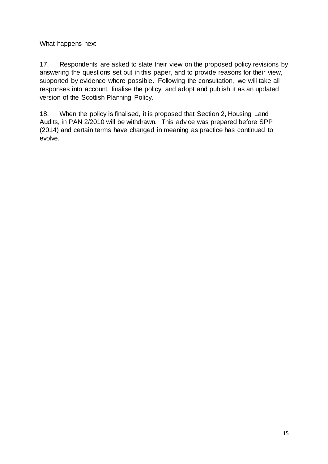#### What happens next

17. Respondents are asked to state their view on the proposed policy revisions by answering the questions set out in this paper, and to provide reasons for their view, supported by evidence where possible. Following the consultation, we will take all responses into account, finalise the policy, and adopt and publish it as an updated version of the Scottish Planning Policy.

18. When the policy is finalised, it is proposed that Section 2, Housing Land Audits, in PAN 2/2010 will be withdrawn. This advice was prepared before SPP (2014) and certain terms have changed in meaning as practice has continued to evolve.